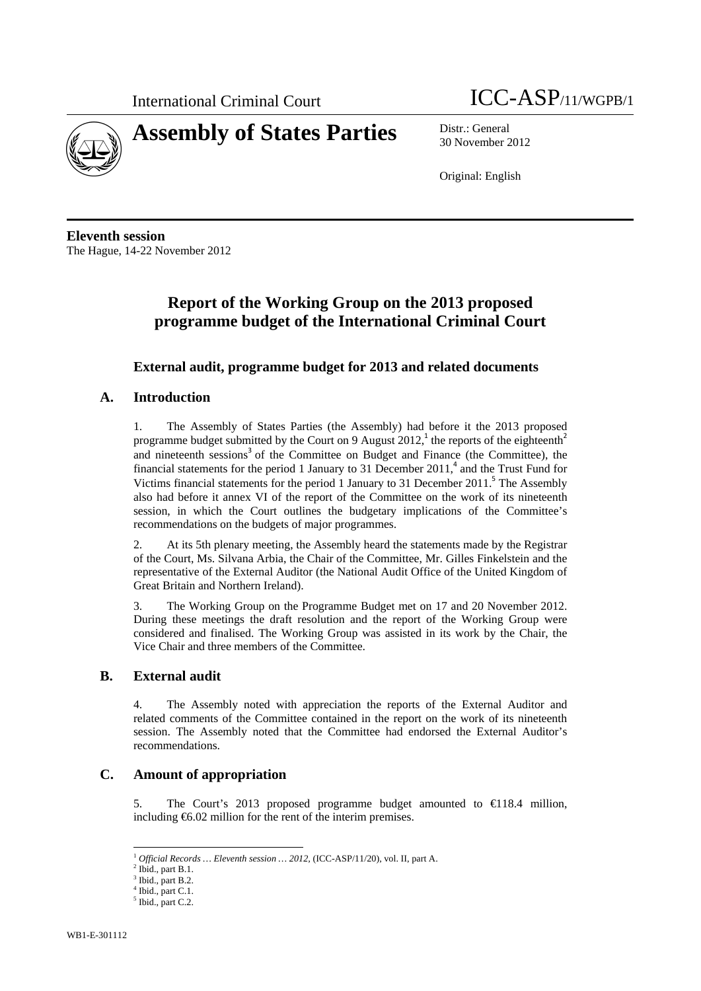



30 November 2012

Original: English

**Eleventh session**  The Hague, 14-22 November 2012

# **Report of the Working Group on the 2013 proposed programme budget of the International Criminal Court**

# **External audit, programme budget for 2013 and related documents**

## **A. Introduction**

1. The Assembly of States Parties (the Assembly) had before it the 2013 proposed programme budget submitted by the Court on 9 August 2012,<sup>1</sup> the reports of the eighteenth<sup>2</sup> and nineteenth sessions<sup>3</sup> of the Committee on Budget and Finance (the Committee), the financial statements for the period 1 January to 31 December  $2011<sup>4</sup>$  and the Trust Fund for Victims financial statements for the period 1 January to 31 December 2011.<sup>5</sup> The Assembly also had before it annex VI of the report of the Committee on the work of its nineteenth session, in which the Court outlines the budgetary implications of the Committee's recommendations on the budgets of major programmes.

2. At its 5th plenary meeting, the Assembly heard the statements made by the Registrar of the Court, Ms. Silvana Arbia, the Chair of the Committee, Mr. Gilles Finkelstein and the representative of the External Auditor (the National Audit Office of the United Kingdom of Great Britain and Northern Ireland).

3. The Working Group on the Programme Budget met on 17 and 20 November 2012. During these meetings the draft resolution and the report of the Working Group were considered and finalised. The Working Group was assisted in its work by the Chair, the Vice Chair and three members of the Committee.

### **B. External audit**

4. The Assembly noted with appreciation the reports of the External Auditor and related comments of the Committee contained in the report on the work of its nineteenth session. The Assembly noted that the Committee had endorsed the External Auditor's recommendations.

## **C. Amount of appropriation**

5. The Court's 2013 proposed programme budget amounted to  $\in$  18.4 million, including €6.02 million for the rent of the interim premises.

 $\overline{a}$ 

<sup>1</sup> *Official Records … Eleventh session … 2012,* (ICC-ASP/11/20), vol. II, part A.

 $2$  Ibid., part B.1.

Ibid., part B.2.

<sup>4</sup> Ibid., part C.1.

<sup>&</sup>lt;sup>5</sup> Ibid., part C.2.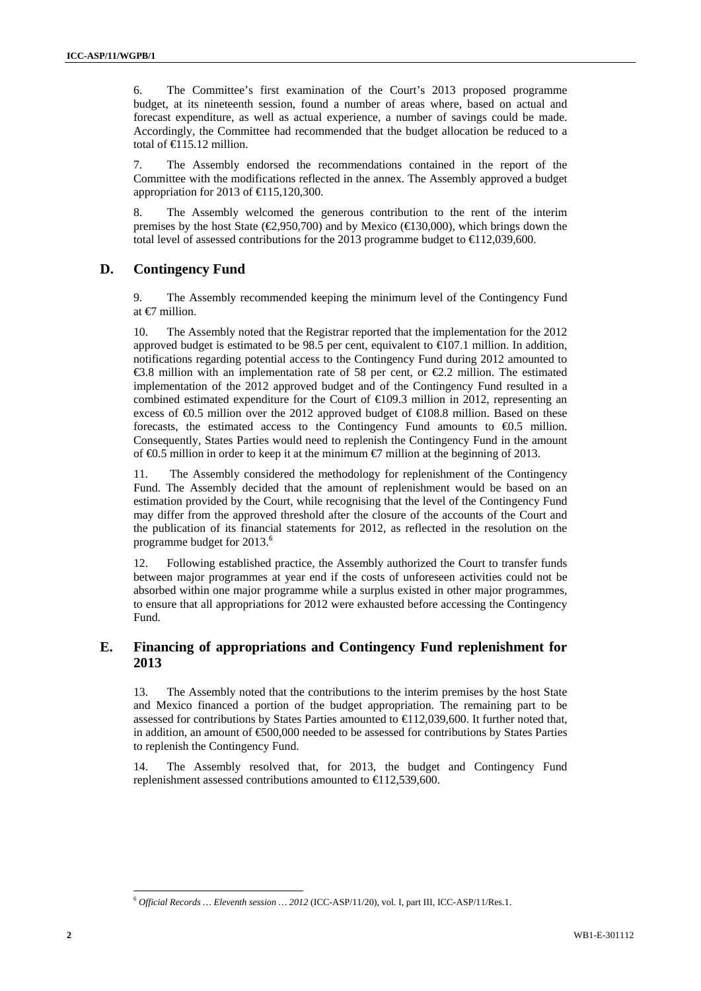6. The Committee's first examination of the Court's 2013 proposed programme budget, at its nineteenth session, found a number of areas where, based on actual and forecast expenditure, as well as actual experience, a number of savings could be made. Accordingly, the Committee had recommended that the budget allocation be reduced to a total of  $\bigoplus$  15.12 million.

7. The Assembly endorsed the recommendations contained in the report of the Committee with the modifications reflected in the annex. The Assembly approved a budget appropriation for 2013 of  $\in$  15,120,300.

8. The Assembly welcomed the generous contribution to the rent of the interim premises by the host State ( $\epsilon$ 9.950,700) and by Mexico ( $\epsilon$ 130,000), which brings down the total level of assessed contributions for the 2013 programme budget to  $\in$  12,039,600.

#### **D. Contingency Fund**

9. The Assembly recommended keeping the minimum level of the Contingency Fund at €7 million.

10. The Assembly noted that the Registrar reported that the implementation for the 2012 approved budget is estimated to be 98.5 per cent, equivalent to  $\infty$  07.1 million. In addition, notifications regarding potential access to the Contingency Fund during 2012 amounted to €3.8 million with an implementation rate of 58 per cent, or €2.2 million. The estimated implementation of the 2012 approved budget and of the Contingency Fund resulted in a combined estimated expenditure for the Court of  $\in$ 109.3 million in 2012, representing an excess of  $\epsilon$ 0.5 million over the 2012 approved budget of  $\epsilon$ 108.8 million. Based on these forecasts, the estimated access to the Contingency Fund amounts to €0.5 million. Consequently, States Parties would need to replenish the Contingency Fund in the amount of €0.5 million in order to keep it at the minimum €7 million at the beginning of 2013.

11. The Assembly considered the methodology for replenishment of the Contingency Fund. The Assembly decided that the amount of replenishment would be based on an estimation provided by the Court, while recognising that the level of the Contingency Fund may differ from the approved threshold after the closure of the accounts of the Court and the publication of its financial statements for 2012, as reflected in the resolution on the programme budget for 2013.<sup>6</sup>

12. Following established practice, the Assembly authorized the Court to transfer funds between major programmes at year end if the costs of unforeseen activities could not be absorbed within one major programme while a surplus existed in other major programmes, to ensure that all appropriations for 2012 were exhausted before accessing the Contingency Fund.

### **E. Financing of appropriations and Contingency Fund replenishment for 2013**

13. The Assembly noted that the contributions to the interim premises by the host State and Mexico financed a portion of the budget appropriation. The remaining part to be assessed for contributions by States Parties amounted to  $\in$  12,039,600. It further noted that, in addition, an amount of €500,000 needed to be assessed for contributions by States Parties to replenish the Contingency Fund.

14. The Assembly resolved that, for 2013, the budget and Contingency Fund replenishment assessed contributions amounted to  $\in$  12,539,600.

l

<sup>6</sup> *Official Records … Eleventh session … 2012* (ICC-ASP/11/20), vol. I, part III, ICC-ASP/11/Res.1.